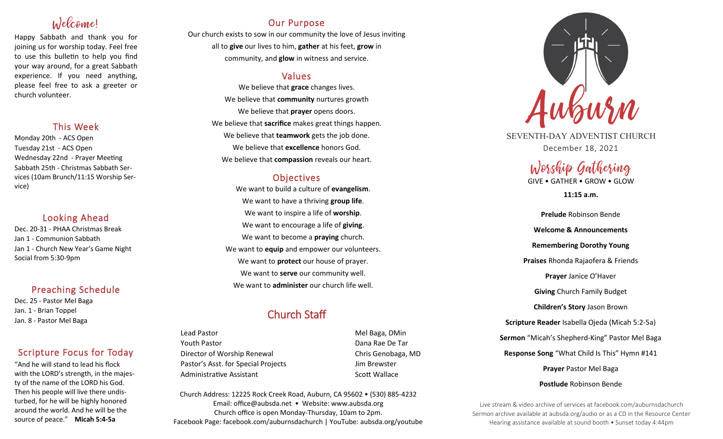# Welcome!

Happy Sabbath and thank you for joining us for worship today. Feel free to use this bulletin to help you find your way around, for a great Sabbath experience. If you need anything, please feel free to ask a greeter or church volunteer.

# This Week

Monday 20th - ACS Open Tuesday 21st - ACS Open Wednesday 22nd - Prayer Meeting Sabbath 25th - Christmas Sabbath Services (10am Brunch/11:15 Worship Service)

## Looking Ahead

Dec. 20-31 - PHAA Christmas Break Jan 1 - Communion Sabbath Jan 1 - Church New Year's Game Night Social from 5:30-9pm

## Preaching Schedule

Dec. 25 - Pastor Mel Baga Jan. 1 - Brian Toppel Jan. 8 - Pastor Mel Baga

# Scripture Focus for Today

"And he will stand to lead his flock with the LORD's strength, in the majesty of the name of the LORD his God. Then his people will live there undisturbed, for he will be highly honored around the world. And he will be the source of peace." **Micah 5:4-5a**

# Our Purpose

Our church exists to sow in our community the love of Jesus inviting all to **give** our lives to him, **gather** at his feet, **grow** in community, and **glow** in witness and service.

# Values

We believe that **grace** changes lives. We believe that **community** nurtures growth We believe that **prayer** opens doors. We believe that **sacrifice** makes great things happen. We believe that **teamwork** gets the job done. We believe that **excellence** honors God. We believe that **compassion** reveals our heart.

# **Objectives**

We want to build a culture of **evangelism**. We want to have a thriving **group life**. We want to inspire a life of **worship**. We want to encourage a life of **giving**. We want to become a **praying** church. We want to **equip** and empower our volunteers. We want to **protect** our house of prayer. We want to **serve** our community well. We want to **administer** our church life well.

# Church Staff

Lead Pastor **Mel Baga, DMin** Youth Pastor Dana Rae De Tar Director of Worship Renewal **Chris Genobaga**, MD Pastor's Asst. for Special Projects Fig. 3.1 Jim Brewster Administrative Assistant National Controllery Scott Wallace

Church Address: 12225 Rock Creek Road, Auburn, CA 95602 • (530) 885-4232 Email: office@aubsda.net • Website: www.aubsda.org Church office is open Monday-Thursday, 10am to 2pm. Facebook Page: facebook.com/auburnsdachurch | YouTube: aubsda.org/youtube



SEVENTH-DAY ADVENTIST CHURCH December 18, 2021

# Worship Gathering

GIVE • GATHER • GROW • GLOW

**11:15 a.m.**

**Prelude** Robinson Bende **Welcome & Announcements Remembering Dorothy Young Praises** Rhonda Rajaofera & Friends **Prayer** Janice O'Haver **Giving** Church Family Budget **Children's Story** Jason Brown **Scripture Reader** Isabella Ojeda (Micah 5:2-5a) **Sermon** "Micah's Shepherd-King" Pastor Mel Baga **Response Song** "What Child Is This" Hymn #141 **Prayer** Pastor Mel Baga **Postlude** Robinson Bende

Live stream & video archive of services at facebook.com/auburnsdachurch Sermon archive available at aubsda.org/audio or as a CD in the Resource Center Hearing assistance available at sound booth • Sunset today 4:44pm